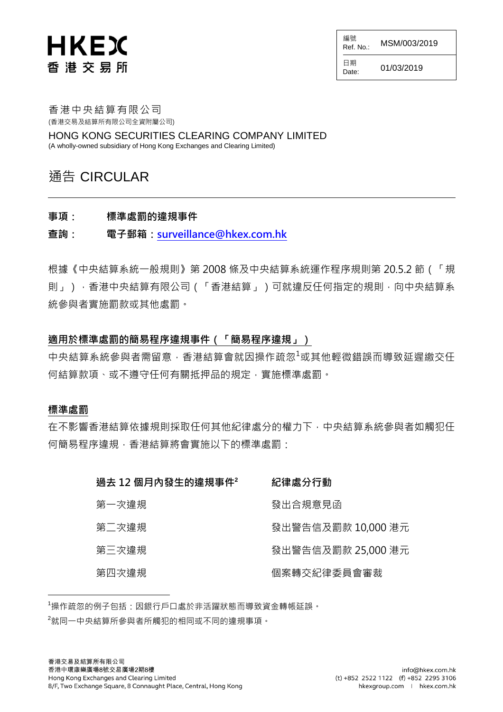# **HKEX** 香港交易所

編號 AHE MO.: MSM/003/2019

 $Date: 01/03/2019$ 

日期

香港中央結算有限公司 (香港交易及結算所有限公司全資附屬公司)

HONG KONG SECURITIES CLEARING COMPANY LIMITED (A wholly-owned subsidiary of Hong Kong Exchanges and Clearing Limited)

### 通告 CIRCULAR

事項: 標準處罰的違規事件

查詢: 電子郵箱[:surveillance@hkex.com.hk](mailto:surveillance@hkex.com.hk)

根據《中央結算系統一般規則》第 2008 條及中央結算系統運作程序規則第 20.5.2 節(「規 則」),香港中央結算有限公司(「香港結算」)可就違反任何指定的規則,向中央結算系 統參與者實施罰款或其他處罰。

#### 適用於標準處罰的簡易程序違規事件(「簡易程序違規」)

中央結算系統參與者需留意,香港結算會就因操作疏忽<sup>1</sup>或其他輕微錯誤而導致延遲繳交仟 何結算款項、或不遵守任何有關抵押品的規定,實施標準處罰。

#### 標準處罰

l

在不影響香港結算依據規則採取任何其他紀律處分的權力下,中央結算系統參與者如觸犯任 何簡易程序違規,香港結算將會實施以下的標準處罰:

| 過去 12 個月內發生的違規事件? | 紀律處分行動             |
|-------------------|--------------------|
| 第一次違規             | 發出合規意見函            |
| 第二次違規             | 發出警告信及罰款 10,000 港元 |
| 第三次違規             | 發出警告信及罰款 25,000 港元 |
| 第四次違規             | 個案轉交紀律委員會審裁        |

<sup>1</sup>操作疏忽的例子包括:因銀行戶口處於非活躍狀態而導致資金轉帳延誤。

<sup>2</sup>就同一中央結算所參與者所觸犯的相同或不同的違規事項。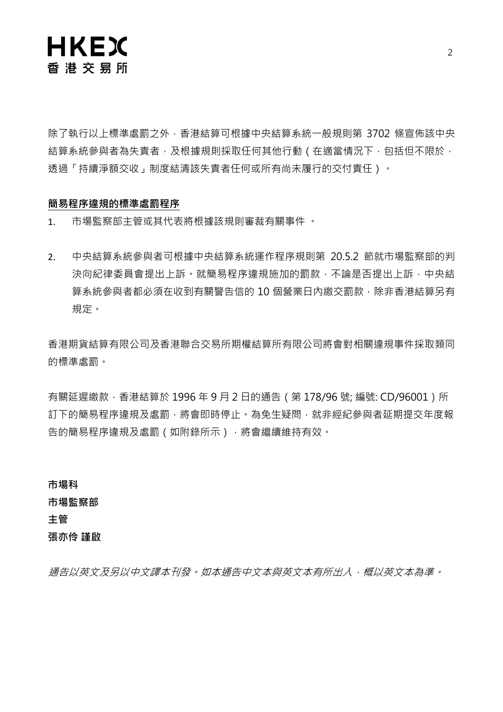

除了執行以上標準處罰之外,香港結算可根據中央結算系統一般規則第 3702 條宣佈該中央 結算系統參與者為失責者,及根據規則採取任何其他行動 ( 在適當情況下, 包括但不限於, 透過「持續淨額交收」制度結清該失責者任何或所有尚未履行的交付責任)。

#### 簡易程序違規的標準處罰程序

1. 市場監察部主管或其代表將根據該規則審裁有關事件 。

2. 中央結算系統參與者可根據中央結算系統運作程序規則第 20.5.2 節就市場監察部的判 決向紀律委員會提出上訴。就簡易程序違規施加的罰款,不論是否提出上訴,中央結 算系統參與者都必須在收到有關警告信的 10 個營業日內繳交罰款,除非香港結算另有 規定。

香港期貨結算有限公司及香港聯合交易所期權結算所有限公司將會對相關違規事件採取類同 的標準處罰。

有關延遲繳款, 香港結算於 1996 年 9 月 2 日的通告 ( 第 178/96 號; 編號: CD/96001 ) 所 訂下的簡易程序違規及處罰,將會即時停止。為免生疑問,就非經紀參與者延期提交年度報 告的簡易程序違規及處罰(如附錄所示),將會繼續維持有效。

市場科 市場監察部 主管 張亦伶 謹啟

通告以英文及另以中文譯本刊發。如本通告中文本與英文本有所出入,概以英文本為準。